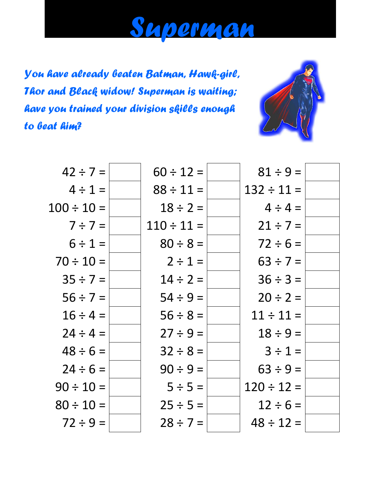

*You have already beaten Batman, Hawk-girl, Thor and Black widow! Superman is waiting; have you trained your division skills enough to beat him?*



| $42 \div 7 =$   | $60 \div 12 =$  | $81 \div 9 =$   |  |
|-----------------|-----------------|-----------------|--|
| $4 \div 1 =$    | $88 \div 11 =$  | $132 \div 11 =$ |  |
| $100 \div 10 =$ | $18 \div 2 =$   | $4 \div 4 =$    |  |
| $7 \div 7 =$    | $110 \div 11 =$ | $21 \div 7 =$   |  |
| $6 \div 1 =$    | $80 \div 8 =$   | $72 \div 6 =$   |  |
| $70 \div 10 =$  | $2 \div 1 =$    | $63 \div 7 =$   |  |
| $35 \div 7 =$   | $14 \div 2 =$   | $36 \div 3 =$   |  |
| $56 \div 7 =$   | $54 \div 9 =$   | $20 \div 2 =$   |  |
| $16 \div 4 =$   | $56 \div 8 =$   | $11 \div 11 =$  |  |
| $24 \div 4 =$   | $27 \div 9 =$   | $18 \div 9 =$   |  |
| $48 \div 6 =$   | $32 \div 8 =$   | $3 \div 1 =$    |  |
| $24 \div 6 =$   | $90 \div 9 =$   | $63 \div 9 =$   |  |
| $90 \div 10 =$  | $5 \div 5 =$    | $120 \div 12 =$ |  |
| $80 \div 10 =$  | $25 \div 5 =$   | $12 \div 6 =$   |  |
| $72 \div 9 =$   | $28 \div 7 =$   | $48 \div 12 =$  |  |